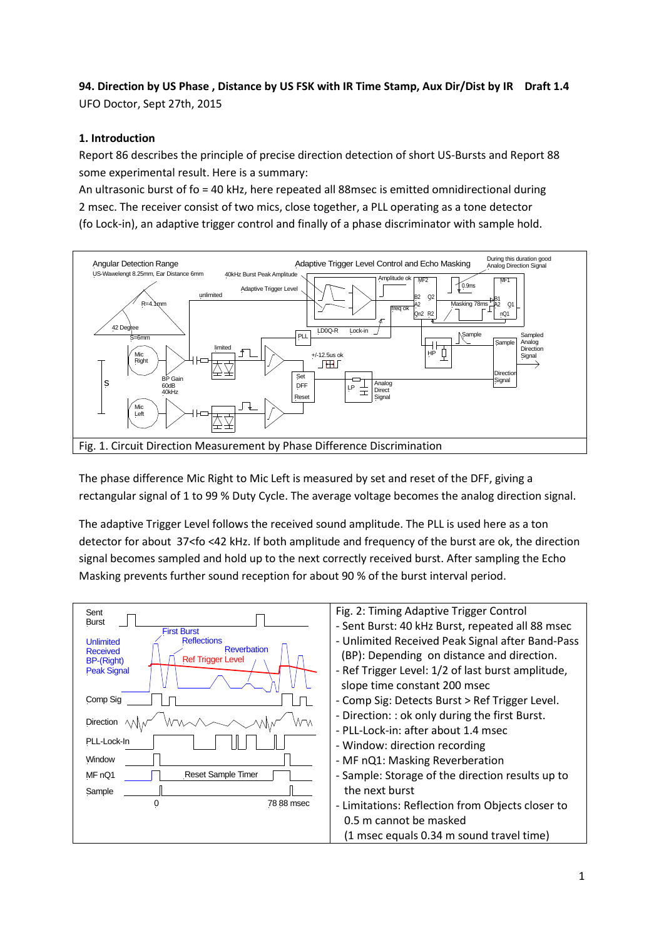**94. Direction by US Phase , Distance by US FSK with IR Time Stamp, Aux Dir/Dist by IR Draft 1.4** UFO Doctor, Sept 27th, 2015

# **1. Introduction**

Report 86 describes the principle of precise direction detection of short US-Bursts and Report 88 some experimental result. Here is a summary:

An ultrasonic burst of fo = 40 kHz, here repeated all 88msec is emitted omnidirectional during 2 msec. The receiver consist of two mics, close together, a PLL operating as a tone detector (fo Lock-in), an adaptive trigger control and finally of a phase discriminator with sample hold.



The phase difference Mic Right to Mic Left is measured by set and reset of the DFF, giving a rectangular signal of 1 to 99 % Duty Cycle. The average voltage becomes the analog direction signal.

The adaptive Trigger Level follows the received sound amplitude. The PLL is used here as a ton detector for about 37<fo <42 kHz. If both amplitude and frequency of the burst are ok, the direction signal becomes sampled and hold up to the next correctly received burst. After sampling the Echo Masking prevents further sound reception for about 90 % of the burst interval period.

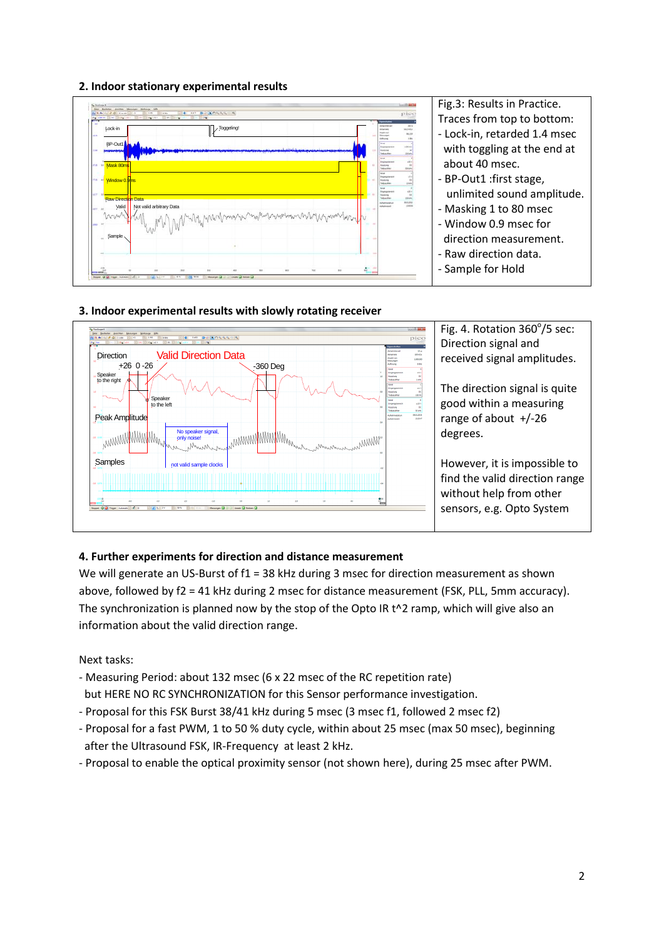### **2. Indoor stationary experimental results**





### **3. Indoor experimental results with slowly rotating receiver**

## **4. Further experiments for direction and distance measurement**

We will generate an US-Burst of f1 = 38 kHz during 3 msec for direction measurement as shown above, followed by f2 = 41 kHz during 2 msec for distance measurement (FSK, PLL, 5mm accuracy). The synchronization is planned now by the stop of the Opto IR t<sup>^2</sup> ramp, which will give also an information about the valid direction range.

Next tasks:

- Measuring Period: about 132 msec (6 x 22 msec of the RC repetition rate) but HERE NO RC SYNCHRONIZATION for this Sensor performance investigation.
- Proposal for this FSK Burst 38/41 kHz during 5 msec (3 msec f1, followed 2 msec f2)
- Proposal for a fast PWM, 1 to 50 % duty cycle, within about 25 msec (max 50 msec), beginning after the Ultrasound FSK, IR-Frequency at least 2 kHz.
- Proposal to enable the optical proximity sensor (not shown here), during 25 msec after PWM.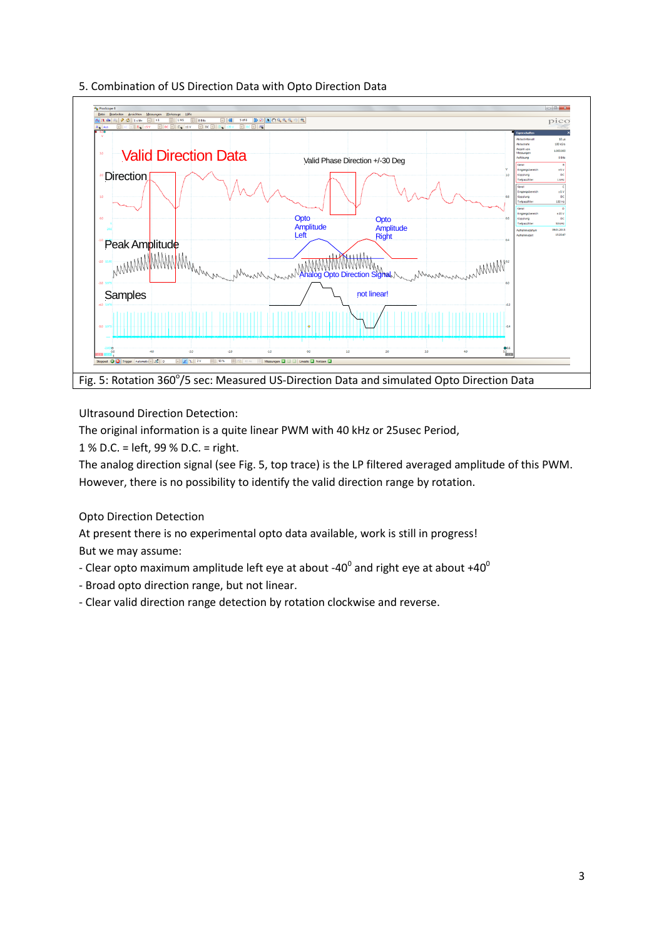



Ultrasound Direction Detection:

The original information is a quite linear PWM with 40 kHz or 25usec Period,

1 % D.C. = left, 99 % D.C. = right.

The analog direction signal (see Fig. 5, top trace) is the LP filtered averaged amplitude of this PWM. However, there is no possibility to identify the valid direction range by rotation.

Opto Direction Detection

At present there is no experimental opto data available, work is still in progress! But we may assume:

- Clear opto maximum amplitude left eye at about -40<sup>0</sup> and right eye at about +40<sup>0</sup>
- Broad opto direction range, but not linear.
- Clear valid direction range detection by rotation clockwise and reverse.